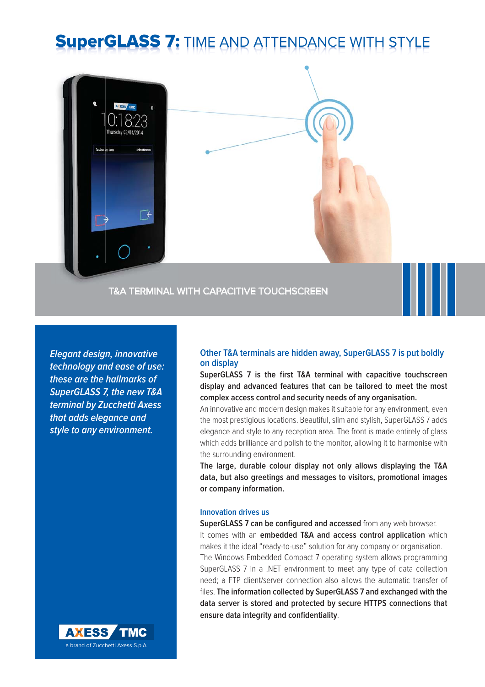# **SuperGLASS 7: TIME AND ATTENDANCE WITH ST**



**Elegant design, innovative technology and ease of use: these are the hallmarks of SuperGLASS 7, the new T&A terminal by Zucchetti Axess that adds elegance and style to any environment.**

### **Other T&A terminals are hidden away, SuperGLASS 7 is put boldly on display**

SuperGLASS 7 is the first T&A terminal with capacitive touchscreen **display and advanced features that can be tailored to meet the most complex access control and security needs of any organisation.** 

An innovative and modern design makes it suitable for any environment, even the most prestigious locations. Beautiful, slim and stylish, SuperGLASS 7 adds elegance and style to any reception area. The front is made entirely of glass which adds brilliance and polish to the monitor, allowing it to harmonise with the surrounding environment.

**The large, durable colour display not only allows displaying the T&A data, but also greetings and messages to visitors, promotional images or company information.**

#### **Innovation drives us**

**SuperGLASS 7 can be configured and accessed** from any web browser. It comes with an **embedded T&A and access control application** which makes it the ideal "ready-to-use" solution for any company or organisation. The Windows Embedded Compact 7 operating system allows programming SuperGLASS 7 in a .NET environment to meet any type of data collection need; a FTP client/server connection also allows the automatic transfer of files. The information collected by SuperGLASS 7 and exchanged with the **data server is stored and protected by secure HTTPS connections that**  ensure data integrity and confidentiality.